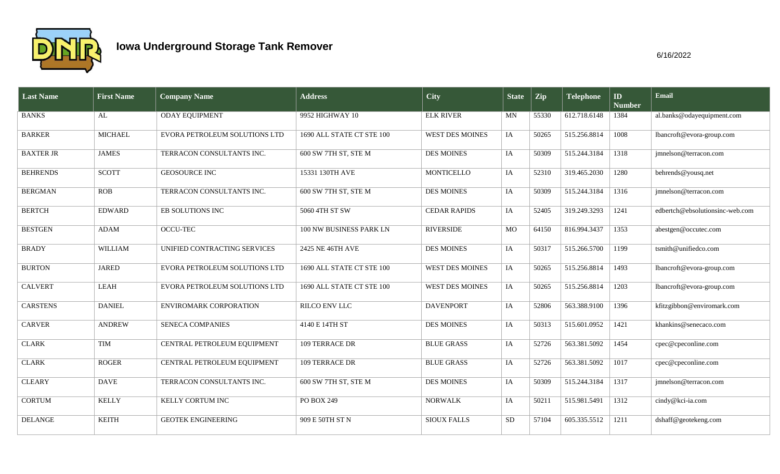

| <b>Last Name</b> | <b>First Name</b> | <b>Company Name</b>           | <b>Address</b>            | <b>City</b>            | <b>State</b> | $\vert$ Zip | <b>Telephone</b> | $\mathbf{ID}$<br><b>Number</b> | Email                           |
|------------------|-------------------|-------------------------------|---------------------------|------------------------|--------------|-------------|------------------|--------------------------------|---------------------------------|
| <b>BANKS</b>     | AL                | <b>ODAY EQUIPMENT</b>         | 9952 HIGHWAY 10           | <b>ELK RIVER</b>       | MN           | 55330       | 612.718.6148     | 1384                           | al.banks@odayequipment.com      |
| <b>BARKER</b>    | <b>MICHAEL</b>    | EVORA PETROLEUM SOLUTIONS LTD | 1690 ALL STATE CT STE 100 | <b>WEST DES MOINES</b> | IA           | 50265       | 515.256.8814     | 1008                           | lbancroft@evora-group.com       |
| <b>BAXTER JR</b> | <b>JAMES</b>      | TERRACON CONSULTANTS INC.     | 600 SW 7TH ST, STE M      | <b>DES MOINES</b>      | IA           | 50309       | 515.244.3184     | 1318                           | jmnelson@terracon.com           |
| <b>BEHRENDS</b>  | <b>SCOTT</b>      | <b>GEOSOURCE INC</b>          | 15331 130TH AVE           | MONTICELLO             | IA           | 52310       | 319.465.2030     | 1280                           | behrends@yousq.net              |
| <b>BERGMAN</b>   | <b>ROB</b>        | TERRACON CONSULTANTS INC.     | 600 SW 7TH ST, STE M      | <b>DES MOINES</b>      | IA           | 50309       | 515.244.3184     | 1316                           | jmnelson@terracon.com           |
| <b>BERTCH</b>    | <b>EDWARD</b>     | EB SOLUTIONS INC              | 5060 4TH ST SW            | <b>CEDAR RAPIDS</b>    | IA           | 52405       | 319.249.3293     | 1241                           | edbertch@ebsolutionsinc-web.com |
| <b>BESTGEN</b>   | <b>ADAM</b>       | <b>OCCU-TEC</b>               | 100 NW BUSINESS PARK LN   | <b>RIVERSIDE</b>       | MO           | 64150       | 816.994.3437     | 1353                           | abestgen@occutec.com            |
| <b>BRADY</b>     | <b>WILLIAM</b>    | UNIFIED CONTRACTING SERVICES  | 2425 NE 46TH AVE          | <b>DES MOINES</b>      | IA           | 50317       | 515.266.5700     | 1199                           | tsmith@unifiedco.com            |
| <b>BURTON</b>    | <b>JARED</b>      | EVORA PETROLEUM SOLUTIONS LTD | 1690 ALL STATE CT STE 100 | WEST DES MOINES        | IA           | 50265       | 515.256.8814     | 1493                           | lbancroft@evora-group.com       |
| <b>CALVERT</b>   | <b>LEAH</b>       | EVORA PETROLEUM SOLUTIONS LTD | 1690 ALL STATE CT STE 100 | <b>WEST DES MOINES</b> | IA           | 50265       | 515.256.8814     | 1203                           | lbancroft@evora-group.com       |
| <b>CARSTENS</b>  | <b>DANIEL</b>     | ENVIROMARK CORPORATION        | RILCO ENV LLC             | <b>DAVENPORT</b>       | IA           | 52806       | 563.388.9100     | 1396                           | kfitzgibbon@enviromark.com      |
| <b>CARVER</b>    | <b>ANDREW</b>     | <b>SENECA COMPANIES</b>       | 4140 E 14TH ST            | <b>DES MOINES</b>      | IA           | 50313       | 515.601.0952     | 1421                           | khankins@senecaco.com           |
| <b>CLARK</b>     | <b>TIM</b>        | CENTRAL PETROLEUM EQUIPMENT   | 109 TERRACE DR            | <b>BLUE GRASS</b>      | IA           | 52726       | 563.381.5092     | 1454                           | cpec@cpeconline.com             |
| <b>CLARK</b>     | <b>ROGER</b>      | CENTRAL PETROLEUM EQUIPMENT   | 109 TERRACE DR            | <b>BLUE GRASS</b>      | IA           | 52726       | 563.381.5092     | 1017                           | cpec@cpeconline.com             |
| <b>CLEARY</b>    | <b>DAVE</b>       | TERRACON CONSULTANTS INC.     | 600 SW 7TH ST, STE M      | <b>DES MOINES</b>      | IA           | 50309       | 515.244.3184     | 1317                           | jmnelson@terracon.com           |
| <b>CORTUM</b>    | <b>KELLY</b>      | <b>KELLY CORTUM INC</b>       | PO BOX 249                | <b>NORWALK</b>         | IA           | 50211       | 515.981.5491     | 1312                           | cindy@kci-ia.com                |
| <b>DELANGE</b>   | <b>KEITH</b>      | <b>GEOTEK ENGINEERING</b>     | 909 E 50TH ST N           | <b>SIOUX FALLS</b>     | <b>SD</b>    | 57104       | 605.335.5512     | 1211                           | dshaff@geotekeng.com            |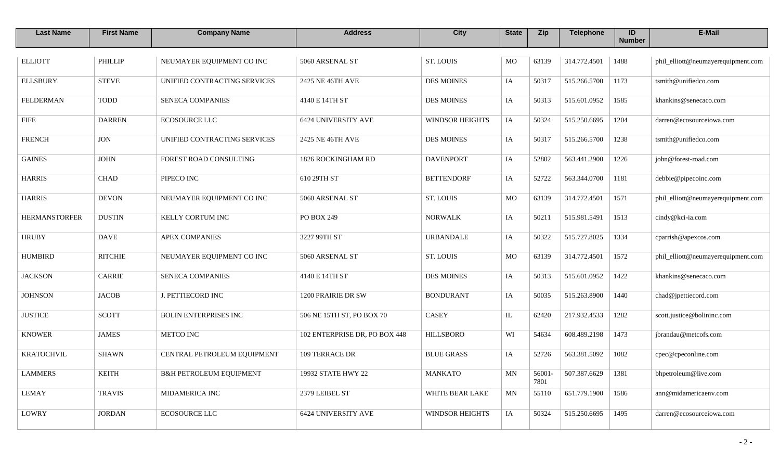| <b>Last Name</b>     | <b>First Name</b> | <b>Company Name</b>                | <b>Address</b>                | <b>City</b>            | <b>State</b> | Zip            | <b>Telephone</b> | ID<br><b>Number</b> | E-Mail                             |
|----------------------|-------------------|------------------------------------|-------------------------------|------------------------|--------------|----------------|------------------|---------------------|------------------------------------|
| <b>ELLIOTT</b>       | <b>PHILLIP</b>    | NEUMAYER EQUIPMENT CO INC          | 5060 ARSENAL ST               | <b>ST. LOUIS</b>       | MO           | 63139          | 314.772.4501     | 1488                | phil_elliott@neumayerequipment.com |
| <b>ELLSBURY</b>      | <b>STEVE</b>      | UNIFIED CONTRACTING SERVICES       | 2425 NE 46TH AVE              | <b>DES MOINES</b>      | IA           | 50317          | 515.266.5700     | 1173                | tsmith@unifiedco.com               |
| <b>FELDERMAN</b>     | <b>TODD</b>       | SENECA COMPANIES                   | 4140 E 14TH ST                | <b>DES MOINES</b>      | IA           | 50313          | 515.601.0952     | 1585                | khankins@senecaco.com              |
| <b>FIFE</b>          | <b>DARREN</b>     | <b>ECOSOURCE LLC</b>               | <b>6424 UNIVERSITY AVE</b>    | <b>WINDSOR HEIGHTS</b> | IA           | 50324          | 515.250.6695     | 1204                | darren@ecosourceiowa.com           |
| <b>FRENCH</b>        | <b>JON</b>        | UNIFIED CONTRACTING SERVICES       | 2425 NE 46TH AVE              | <b>DES MOINES</b>      | IA           | 50317          | 515.266.5700     | 1238                | tsmith@unifiedco.com               |
| <b>GAINES</b>        | <b>JOHN</b>       | FOREST ROAD CONSULTING             | 1826 ROCKINGHAM RD            | <b>DAVENPORT</b>       | IA           | 52802          | 563.441.2900     | 1226                | john@forest-road.com               |
| <b>HARRIS</b>        | <b>CHAD</b>       | PIPECO INC                         | 610 29TH ST                   | <b>BETTENDORF</b>      | IA           | 52722          | 563.344.0700     | 1181                | debbie@pipecoinc.com               |
| <b>HARRIS</b>        | <b>DEVON</b>      | NEUMAYER EQUIPMENT CO INC          | 5060 ARSENAL ST               | ST. LOUIS              | MO           | 63139          | 314.772.4501     | 1571                | phil_elliott@neumayerequipment.com |
| <b>HERMANSTORFER</b> | <b>DUSTIN</b>     | KELLY CORTUM INC                   | PO BOX 249                    | <b>NORWALK</b>         | IA           | 50211          | 515.981.5491     | 1513                | cindy@kci-ia.com                   |
| <b>HRUBY</b>         | <b>DAVE</b>       | <b>APEX COMPANIES</b>              | 3227 99TH ST                  | <b>URBANDALE</b>       | IA           | 50322          | 515.727.8025     | 1334                | cparrish@apexcos.com               |
| <b>HUMBIRD</b>       | <b>RITCHIE</b>    | NEUMAYER EQUIPMENT CO INC          | 5060 ARSENAL ST               | <b>ST. LOUIS</b>       | MO           | 63139          | 314.772.4501     | 1572                | phil_elliott@neumayerequipment.com |
| <b>JACKSON</b>       | <b>CARRIE</b>     | SENECA COMPANIES                   | 4140 E 14TH ST                | <b>DES MOINES</b>      | IA           | 50313          | 515.601.0952     | 1422                | khankins@senecaco.com              |
| <b>JOHNSON</b>       | <b>JACOB</b>      | J. PETTIECORD INC                  | 1200 PRAIRIE DR SW            | <b>BONDURANT</b>       | IA           | 50035          | 515.263.8900     | 1440                | chad@jpettiecord.com               |
| <b>JUSTICE</b>       | <b>SCOTT</b>      | BOLIN ENTERPRISES INC              | 506 NE 15TH ST, PO BOX 70     | CASEY                  | IL           | 62420          | 217.932.4533     | 1282                | scott.justice@bolininc.com         |
| <b>KNOWER</b>        | <b>JAMES</b>      | METCO INC                          | 102 ENTERPRISE DR, PO BOX 448 | <b>HILLSBORO</b>       | WI           | 54634          | 608.489.2198     | 1473                | jbrandau@metcofs.com               |
| <b>KRATOCHVIL</b>    | <b>SHAWN</b>      | CENTRAL PETROLEUM EQUIPMENT        | 109 TERRACE DR                | <b>BLUE GRASS</b>      | IA           | 52726          | 563.381.5092     | 1082                | cpec@cpeconline.com                |
| <b>LAMMERS</b>       | <b>KEITH</b>      | <b>B&amp;H PETROLEUM EQUIPMENT</b> | 19932 STATE HWY 22            | <b>MANKATO</b>         | MN           | 56001-<br>7801 | 507.387.6629     | 1381                | bhpetroleum@live.com               |
| <b>LEMAY</b>         | <b>TRAVIS</b>     | MIDAMERICA INC                     | 2379 LEIBEL ST                | WHITE BEAR LAKE        | MN           | 55110          | 651.779.1900     | 1586                | ann@midamericaenv.com              |
| LOWRY                | <b>JORDAN</b>     | <b>ECOSOURCE LLC</b>               | <b>6424 UNIVERSITY AVE</b>    | <b>WINDSOR HEIGHTS</b> | IA           | 50324          | 515.250.6695     | 1495                | darren@ecosourceiowa.com           |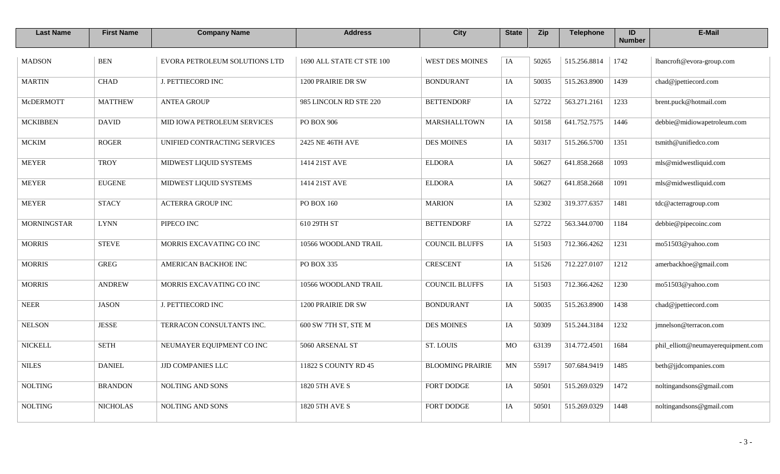| <b>Last Name</b>   | <b>First Name</b> | <b>Company Name</b>           | <b>Address</b>            | <b>City</b>             | <b>State</b> | Zip   | <b>Telephone</b> | ID<br><b>Number</b> | E-Mail                             |
|--------------------|-------------------|-------------------------------|---------------------------|-------------------------|--------------|-------|------------------|---------------------|------------------------------------|
| <b>MADSON</b>      | <b>BEN</b>        | EVORA PETROLEUM SOLUTIONS LTD | 1690 ALL STATE CT STE 100 | <b>WEST DES MOINES</b>  | IA           | 50265 | 515.256.8814     | 1742                | lbancroft@evora-group.com          |
| <b>MARTIN</b>      | <b>CHAD</b>       | J. PETTIECORD INC             | 1200 PRAIRIE DR SW        | <b>BONDURANT</b>        | IA           | 50035 | 515.263.8900     | 1439                | chad@jpettiecord.com               |
| McDERMOTT          | <b>MATTHEW</b>    | <b>ANTEA GROUP</b>            | 985 LINCOLN RD STE 220    | <b>BETTENDORF</b>       | IA           | 52722 | 563.271.2161     | 1233                | brent.puck@hotmail.com             |
| <b>MCKIBBEN</b>    | <b>DAVID</b>      | MID IOWA PETROLEUM SERVICES   | PO BOX 906                | <b>MARSHALLTOWN</b>     | IA           | 50158 | 641.752.7575     | 1446                | debbie@midiowapetroleum.com        |
| <b>MCKIM</b>       | <b>ROGER</b>      | UNIFIED CONTRACTING SERVICES  | 2425 NE 46TH AVE          | <b>DES MOINES</b>       | IA           | 50317 | 515.266.5700     | 1351                | tsmith@unifiedco.com               |
| <b>MEYER</b>       | <b>TROY</b>       | MIDWEST LIQUID SYSTEMS        | 1414 21ST AVE             | <b>ELDORA</b>           | IA           | 50627 | 641.858.2668     | 1093                | mls@midwestliquid.com              |
| <b>MEYER</b>       | <b>EUGENE</b>     | MIDWEST LIQUID SYSTEMS        | 1414 21ST AVE             | <b>ELDORA</b>           | IA           | 50627 | 641.858.2668     | 1091                | mls@midwestliquid.com              |
| <b>MEYER</b>       | <b>STACY</b>      | <b>ACTERRA GROUP INC</b>      | PO BOX 160                | <b>MARION</b>           | IA           | 52302 | 319.377.6357     | 1481                | tdc@acterragroup.com               |
| <b>MORNINGSTAR</b> | <b>LYNN</b>       | PIPECO INC                    | 610 29TH ST               | <b>BETTENDORF</b>       | IA           | 52722 | 563.344.0700     | 1184                | debbie@pipecoinc.com               |
| <b>MORRIS</b>      | <b>STEVE</b>      | MORRIS EXCAVATING CO INC      | 10566 WOODLAND TRAIL      | <b>COUNCIL BLUFFS</b>   | IA           | 51503 | 712.366.4262     | 1231                | mo51503@yahoo.com                  |
| <b>MORRIS</b>      | <b>GREG</b>       | AMERICAN BACKHOE INC          | PO BOX 335                | <b>CRESCENT</b>         | IA           | 51526 | 712.227.0107     | 1212                | amerbackhoe@gmail.com              |
| <b>MORRIS</b>      | <b>ANDREW</b>     | MORRIS EXCAVATING CO INC      | 10566 WOODLAND TRAIL      | <b>COUNCIL BLUFFS</b>   | IA           | 51503 | 712.366.4262     | 1230                | mo51503@yahoo.com                  |
| <b>NEER</b>        | <b>JASON</b>      | <b>J. PETTIECORD INC</b>      | 1200 PRAIRIE DR SW        | <b>BONDURANT</b>        | IA           | 50035 | 515.263.8900     | 1438                | chad@jpettiecord.com               |
| <b>NELSON</b>      | <b>JESSE</b>      | TERRACON CONSULTANTS INC.     | 600 SW 7TH ST, STE M      | <b>DES MOINES</b>       | IA           | 50309 | 515.244.3184     | 1232                | jmnelson@terracon.com              |
| <b>NICKELL</b>     | <b>SETH</b>       | NEUMAYER EQUIPMENT CO INC     | 5060 ARSENAL ST           | <b>ST. LOUIS</b>        | MO           | 63139 | 314.772.4501     | 1684                | phil_elliott@neumayerequipment.com |
| <b>NILES</b>       | <b>DANIEL</b>     | <b>JJD COMPANIES LLC</b>      | 11822 S COUNTY RD 45      | <b>BLOOMING PRAIRIE</b> | $\mbox{MN}$  | 55917 | 507.684.9419     | 1485                | beth@jjdcompanies.com              |
| <b>NOLTING</b>     | <b>BRANDON</b>    | <b>NOLTING AND SONS</b>       | 1820 5TH AVE S            | <b>FORT DODGE</b>       | IA           | 50501 | 515.269.0329     | 1472                | noltingandsons@gmail.com           |
| <b>NOLTING</b>     | <b>NICHOLAS</b>   | NOLTING AND SONS              | 1820 5TH AVE S            | FORT DODGE              | IA           | 50501 | 515.269.0329     | 1448                | noltingandsons@gmail.com           |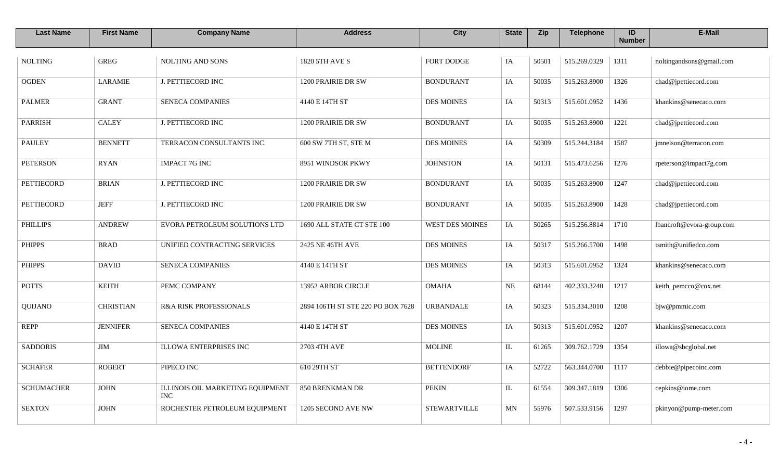| <b>Last Name</b>  | <b>First Name</b> | <b>Company Name</b>                            | <b>Address</b>                    | <b>City</b>            | <b>State</b> | Zip   | <b>Telephone</b> | ID<br><b>Number</b> | E-Mail                    |
|-------------------|-------------------|------------------------------------------------|-----------------------------------|------------------------|--------------|-------|------------------|---------------------|---------------------------|
| <b>NOLTING</b>    | <b>GREG</b>       | <b>NOLTING AND SONS</b>                        | 1820 5TH AVE S                    | <b>FORT DODGE</b>      | IA           | 50501 | 515.269.0329     | 1311                | noltingandsons@gmail.com  |
| <b>OGDEN</b>      | <b>LARAMIE</b>    | <b>J. PETTIECORD INC</b>                       | 1200 PRAIRIE DR SW                | <b>BONDURANT</b>       | IA           | 50035 | 515.263.8900     | 1326                | chad@jpettiecord.com      |
| <b>PALMER</b>     | <b>GRANT</b>      | <b>SENECA COMPANIES</b>                        | 4140 E 14TH ST                    | <b>DES MOINES</b>      | IA           | 50313 | 515.601.0952     | 1436                | khankins@senecaco.com     |
| <b>PARRISH</b>    | <b>CALEY</b>      | <b>J. PETTIECORD INC</b>                       | 1200 PRAIRIE DR SW                | <b>BONDURANT</b>       | IA           | 50035 | 515.263.8900     | 1221                | chad@jpettiecord.com      |
| <b>PAULEY</b>     | <b>BENNETT</b>    | TERRACON CONSULTANTS INC.                      | 600 SW 7TH ST, STE M              | <b>DES MOINES</b>      | IA           | 50309 | 515.244.3184     | 1587                | jmnelson@terracon.com     |
| <b>PETERSON</b>   | <b>RYAN</b>       | <b>IMPACT 7G INC</b>                           | 8951 WINDSOR PKWY                 | <b>JOHNSTON</b>        | IA           | 50131 | 515.473.6256     | 1276                | rpeterson@impact7g.com    |
| <b>PETTIECORD</b> | <b>BRIAN</b>      | J. PETTIECORD INC                              | 1200 PRAIRIE DR SW                | <b>BONDURANT</b>       | IA           | 50035 | 515.263.8900     | 1247                | chad@jpettiecord.com      |
| <b>PETTIECORD</b> | <b>JEFF</b>       | <b>J. PETTIECORD INC</b>                       | 1200 PRAIRIE DR SW                | <b>BONDURANT</b>       | IA           | 50035 | 515.263.8900     | 1428                | chad@jpettiecord.com      |
| <b>PHILLIPS</b>   | <b>ANDREW</b>     | EVORA PETROLEUM SOLUTIONS LTD                  | 1690 ALL STATE CT STE 100         | <b>WEST DES MOINES</b> | IA           | 50265 | 515.256.8814     | 1710                | lbancroft@evora-group.com |
| <b>PHIPPS</b>     | <b>BRAD</b>       | UNIFIED CONTRACTING SERVICES                   | 2425 NE 46TH AVE                  | <b>DES MOINES</b>      | IA           | 50317 | 515.266.5700     | 1498                | tsmith@unifiedco.com      |
| <b>PHIPPS</b>     | <b>DAVID</b>      | <b>SENECA COMPANIES</b>                        | 4140 E 14TH ST                    | <b>DES MOINES</b>      | IA           | 50313 | 515.601.0952     | 1324                | khankins@senecaco.com     |
| <b>POTTS</b>      | <b>KEITH</b>      | PEMC COMPANY                                   | 13952 ARBOR CIRCLE                | <b>OMAHA</b>           | $\rm NE$     | 68144 | 402.333.3240     | 1217                | keith_pemcco@cox.net      |
| QUIJANO           | <b>CHRISTIAN</b>  | R&A RISK PROFESSIONALS                         | 2894 106TH ST STE 220 PO BOX 7628 | <b>URBANDALE</b>       | IA           | 50323 | 515.334.3010     | 1208                | bjw@pmmic.com             |
| <b>REPP</b>       | <b>JENNIFER</b>   | SENECA COMPANIES                               | 4140 E 14TH ST                    | <b>DES MOINES</b>      | IA           | 50313 | 515.601.0952     | 1207                | khankins@senecaco.com     |
| <b>SADDORIS</b>   | <b>JIM</b>        | ILLOWA ENTERPRISES INC                         | 2703 4TH AVE                      | <b>MOLINE</b>          | $\rm IL$     | 61265 | 309.762.1729     | 1354                | illowa@sbcglobal.net      |
| <b>SCHAFER</b>    | <b>ROBERT</b>     | PIPECO INC                                     | 610 29TH ST                       | <b>BETTENDORF</b>      | IA           | 52722 | 563.344.0700     | 1117                | debbie@pipecoinc.com      |
| <b>SCHUMACHER</b> | <b>JOHN</b>       | ILLINOIS OIL MARKETING EQUIPMENT<br><b>INC</b> | 850 BRENKMAN DR                   | <b>PEKIN</b>           | $\mathbf{L}$ | 61554 | 309.347.1819     | 1306                | cepkins@iome.com          |
| <b>SEXTON</b>     | <b>JOHN</b>       | ROCHESTER PETROLEUM EQUIPMENT                  | 1205 SECOND AVE NW                | <b>STEWARTVILLE</b>    | $\mbox{MN}$  | 55976 | 507.533.9156     | 1297                | pkinyon@pump-meter.com    |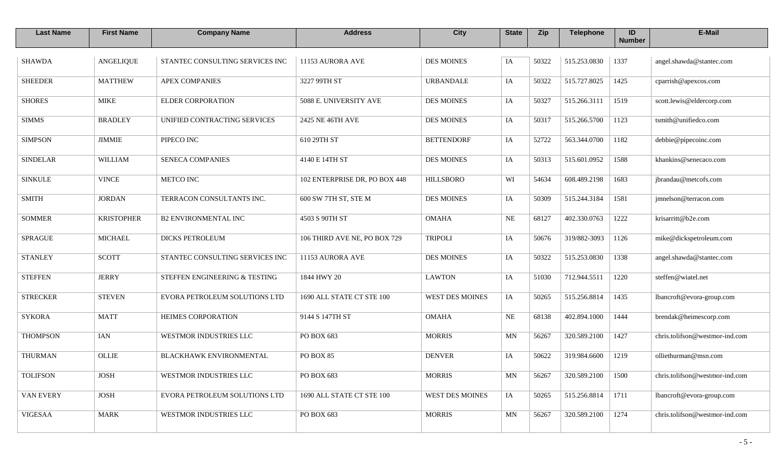| <b>Last Name</b> | <b>First Name</b> | <b>Company Name</b>             | <b>Address</b>                | <b>City</b>            | <b>State</b>             | Zip   | <b>Telephone</b> | ID<br><b>Number</b> | E-Mail                         |
|------------------|-------------------|---------------------------------|-------------------------------|------------------------|--------------------------|-------|------------------|---------------------|--------------------------------|
| <b>SHAWDA</b>    | ANGELIQUE         | STANTEC CONSULTING SERVICES INC | 11153 AURORA AVE              | <b>DES MOINES</b>      | IA                       | 50322 | 515.253.0830     | 1337                | angel.shawda@stantec.com       |
| <b>SHEEDER</b>   | <b>MATTHEW</b>    | <b>APEX COMPANIES</b>           | 3227 99TH ST                  | <b>URBANDALE</b>       | IA                       | 50322 | 515.727.8025     | 1425                | cparrish@apexcos.com           |
| <b>SHORES</b>    | <b>MIKE</b>       | <b>ELDER CORPORATION</b>        | 5088 E. UNIVERSITY AVE        | <b>DES MOINES</b>      | IA                       | 50327 | 515.266.3111     | 1519                | scott.lewis@eldercorp.com      |
| <b>SIMMS</b>     | <b>BRADLEY</b>    | UNIFIED CONTRACTING SERVICES    | 2425 NE 46TH AVE              | <b>DES MOINES</b>      | IA                       | 50317 | 515.266.5700     | 1123                | tsmith@unifiedco.com           |
| <b>SIMPSON</b>   | <b>JIMMIE</b>     | PIPECO INC                      | 610 29TH ST                   | <b>BETTENDORF</b>      | IA                       | 52722 | 563.344.0700     | 1182                | debbie@pipecoinc.com           |
| <b>SINDELAR</b>  | <b>WILLIAM</b>    | SENECA COMPANIES                | 4140 E 14TH ST                | <b>DES MOINES</b>      | IA                       | 50313 | 515.601.0952     | 1588                | khankins@senecaco.com          |
| <b>SINKULE</b>   | <b>VINCE</b>      | <b>METCO INC</b>                | 102 ENTERPRISE DR, PO BOX 448 | <b>HILLSBORO</b>       | WI                       | 54634 | 608.489.2198     | 1683                | jbrandau@metcofs.com           |
| <b>SMITH</b>     | <b>JORDAN</b>     | TERRACON CONSULTANTS INC.       | 600 SW 7TH ST, STE M          | <b>DES MOINES</b>      | IA                       | 50309 | 515.244.3184     | 1581                | jmnelson@terracon.com          |
| <b>SOMMER</b>    | <b>KRISTOPHER</b> | <b>B2 ENVIRONMENTAL INC</b>     | 4503 S 90TH ST                | <b>OMAHA</b>           | NE                       | 68127 | 402.330.0763     | 1222                | krisarritt@b2e.com             |
| <b>SPRAGUE</b>   | <b>MICHAEL</b>    | <b>DICKS PETROLEUM</b>          | 106 THIRD AVE NE, PO BOX 729  | <b>TRIPOLI</b>         | IA                       | 50676 | 319/882-3093     | 1126                | mike@dickspetroleum.com        |
| <b>STANLEY</b>   | <b>SCOTT</b>      | STANTEC CONSULTING SERVICES INC | 11153 AURORA AVE              | <b>DES MOINES</b>      | IA                       | 50322 | 515.253.0830     | 1338                | angel.shawda@stantec.com       |
| <b>STEFFEN</b>   | <b>JERRY</b>      | STEFFEN ENGINEERING & TESTING   | 1844 HWY 20                   | <b>LAWTON</b>          | IA                       | 51030 | 712.944.5511     | 1220                | steffen@wiatel.net             |
| <b>STRECKER</b>  | <b>STEVEN</b>     | EVORA PETROLEUM SOLUTIONS LTD   | 1690 ALL STATE CT STE 100     | <b>WEST DES MOINES</b> | IA                       | 50265 | 515.256.8814     | 1435                | lbancroft@evora-group.com      |
| <b>SYKORA</b>    | <b>MATT</b>       | HEIMES CORPORATION              | 9144 S 147TH ST               | <b>OMAHA</b>           | NE                       | 68138 | 402.894.1000     | 1444                | brendak@heimescorp.com         |
| <b>THOMPSON</b>  | <b>IAN</b>        | WESTMOR INDUSTRIES LLC          | PO BOX 683                    | <b>MORRIS</b>          | MN                       | 56267 | 320.589.2100     | 1427                | chris.tolifson@westmor-ind.com |
| <b>THURMAN</b>   | OLLIE             | BLACKHAWK ENVIRONMENTAL         | PO BOX 85                     | <b>DENVER</b>          | IA                       | 50622 | 319.984.6600     | 1219                | olliethurman@msn.com           |
| <b>TOLIFSON</b>  | <b>JOSH</b>       | WESTMOR INDUSTRIES LLC          | PO BOX 683                    | <b>MORRIS</b>          | $\ensuremath{\text{MN}}$ | 56267 | 320.589.2100     | $1500$              | chris.tolifson@westmor-ind.com |
| VAN EVERY        | <b>JOSH</b>       | EVORA PETROLEUM SOLUTIONS LTD   | 1690 ALL STATE CT STE 100     | <b>WEST DES MOINES</b> | IA                       | 50265 | 515.256.8814     | 1711                | lbancroft@evora-group.com      |
| <b>VIGESAA</b>   | <b>MARK</b>       | WESTMOR INDUSTRIES LLC          | PO BOX 683                    | <b>MORRIS</b>          | MN                       | 56267 | 320.589.2100     | 1274                | chris.tolifson@westmor-ind.com |